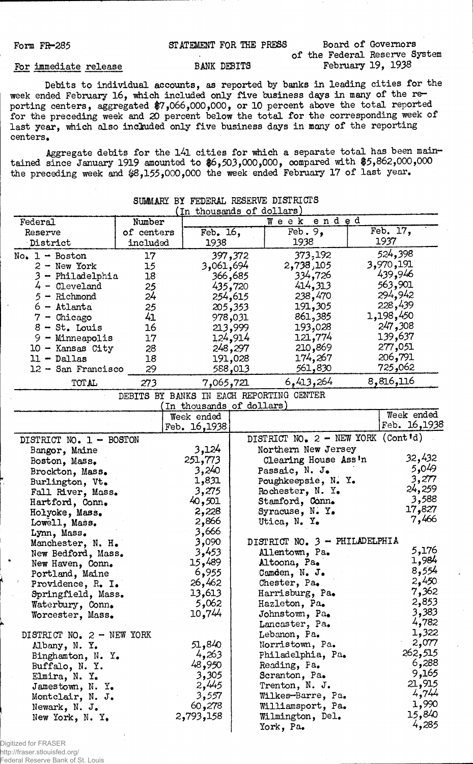## Form FR-285 (STATEMENT FOR THE PRESS Board of Governors

## For immediate release BANK DEBITS

of the Federal Reserve System

Debits to individual accounts, as reported by banks in leading cities for the week ended February 16, which included only five business days in many of the reporting centers, aggregated \$7,066,000,000, or 10 percent above the total reported for the preceding week and 20 percent below the total for the corresponding week of last year, which also included only five business days in many of the reporting centers.

Aggregate debits for the l4l cities for which a separate total has been maintained since January 1919 amounted to \$6,503,000,000, compared with \$5,862,000,000 the preceding week and \$8,155,000,000 the week ended February 17 of last year.

| Federal                   | Number                                   | u⊥,                      |         | thousands of dollars)<br>ended<br>Week |              |
|---------------------------|------------------------------------------|--------------------------|---------|----------------------------------------|--------------|
|                           | of centers                               | Feb. 16,                 |         | $\text{Feb. } 9$ ,                     | Feb. 17,     |
| Reserve<br>District       | included                                 | 1938                     |         | 1938                                   | 1937         |
|                           |                                          |                          |         |                                        | 524,398      |
| $No. 1 - Boston$          | 17                                       |                          | 397,372 | 373,192                                |              |
| $2 - New York$            | 15                                       | 3,061,694                |         | 2,738,105                              | 3,970,191    |
| 3 - Philadelphia          | 18                                       |                          | 366,685 | 334 <b>,</b> 726                       | 439,946      |
| 4 - Cleveland             | 25                                       |                          | 435,720 | 414,313                                | 563,901      |
| 5 - Richmond              | 24                                       |                          | 254,615 | 238,470                                | 294,942      |
| 6 - Atlanta               | 25                                       |                          | 205,353 | 191,305                                | 228,439      |
| $7$ - Chicago             | 41                                       |                          | 978,031 | 861,385                                | 1,198,450    |
| $8 - St.$ Louis           | 16                                       |                          | 213,999 | 193,028                                | ,308 247     |
| $9 -$ Minneapolis         | 17                                       |                          | 124,914 | 121,774                                | 139,637      |
| 10 - Kansas City          | 28                                       |                          | 248,297 | 210,869                                | 277,051      |
| $11 - Dallas$             | 18                                       |                          | 191,028 | 174,267                                | 206,791      |
| 12 - San Francisco        | 29                                       |                          | 588,013 | 561,830                                | 725,062      |
| TOTAL                     | 273                                      | 7,065,721                |         | 6,413,264                              | 8,816,116    |
|                           | DEBITS BY BANKS IN EACH REPORTING CENTER |                          |         |                                        |              |
|                           |                                          | In thousands of dollars) |         |                                        |              |
|                           |                                          | Week ended               |         |                                        | Week ended   |
|                           |                                          | Feb. 16,1938             |         |                                        | Feb. 16,1938 |
| DISTRICT NO. 1 - BOSTON   |                                          |                          |         | DISTRICT NO. 2 - NEW YORK (Cont'd)     |              |
| Bangor, Maine             |                                          | 3,124                    |         | Northern New Jersey                    |              |
| Boston, Mass.             |                                          | 251,773                  |         | Clearing House Ass'n                   | 32,432       |
| Brockton, Mass.           |                                          | 3,240                    |         | Passaic, N. J.                         | 5,049        |
| Burlington, Vt.           |                                          | 1,831                    |         | Poughkeepsie, N. Y.                    | 3,277        |
| Fall River, Mass.         |                                          | 3,275                    |         | Rochester, N. Y.                       | 24,259       |
| Hartford, Conn.           |                                          | 40,501                   |         | Stamford, Conn.                        | 3,588        |
|                           |                                          | 2,228                    |         | Syracuse, N. Y.                        | 17,827       |
| Holyoke, Mass.            |                                          | 2,866                    |         | Utica, N. Y.                           | 7,466        |
| Lowell, Mass.             |                                          | 3,666                    |         |                                        |              |
| Lynn, Mass.               |                                          | 3,090                    |         | DISTRICT NO. 3 - PHILADELPHIA          |              |
| Manchester, N. H.         |                                          | 3,453                    |         | Allentown, Pa.                         | 5,176        |
| New Bedford, Mass.        |                                          | 15,489                   |         |                                        | 1,984        |
| New Haven, Conn.          |                                          |                          |         | Altoona, Pa.                           | 8,554        |
| Portland, Maine           |                                          | 6,955                    |         | Camden, $N_{\bullet}$ J.               | 2,450        |
| Providence, R. I.         |                                          | 26,462                   |         | Chester, Pa.                           | 7,362        |
| Springfield, Mass.        |                                          | 13,613                   |         | Harrisburg, Pa.                        |              |
| Waterbury, Conn.          |                                          | 5,062                    |         | Hazleton, Pa.                          | 2,853        |
| Worcester, Mass.          |                                          | 10,744                   |         | Johnstown, Pa.                         | 3,383        |
|                           |                                          |                          |         | Lancaster, Pa.                         | 4,782        |
| DISTRICT NO. 2 - NEW YORK |                                          |                          |         | Lebanon, Pa.                           | 1,322        |
| Albany, N. Y.             |                                          | 51,840                   |         | Norristown, Pa.                        | 2,077        |
| Binghamton, N. Y.         |                                          | 4,263                    |         | Philadelphia, Pa.                      | 262,515      |
| Buffalo, N. Y.            |                                          | 48,950                   |         | Reading, Pa.                           | 6,288        |
| Elmira, N. Y.             |                                          | 3,305                    |         | Scranton, Pa.                          | 9,165        |
| Jamestown, N. Y.          |                                          | 2,445                    |         | Trenton, N. J.                         | 21,915       |
| Montclair, N. J.          |                                          | 3,557                    |         | Wilkes-Barre, Pa.                      | 4,744        |
| Newark, N. J.             |                                          | 60,278                   |         | Williamsport, Pa.                      | 1,990        |
| New York, N. Y.           |                                          | 2,793,158                |         | Wilmington, Del.                       | 15,840       |
|                           |                                          |                          |         | York, Pa.                              | 4,285        |
|                           |                                          |                          |         |                                        |              |

SUMMARY BY FEDERAL RESERVE DISTRICTS  $\sum_{n=1}^{\infty}$  of dollars)

Digitized for FRASER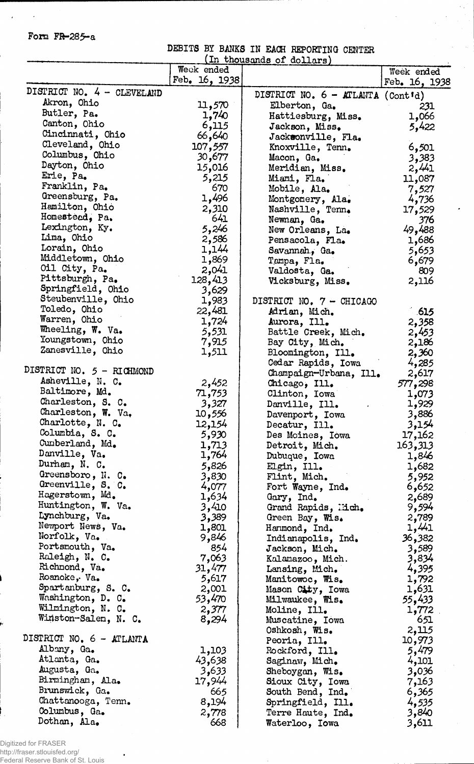## Form FR-285-a

 $\sim$ 

 $\mathcal{A}^{\pm}$ 

DEBITS BY BANKS IN EACH REPORTING CENTER (In thousands of dollars)

 $\epsilon_{\rm{B}}$ 

|                                   | Week ended     |                                            | Week ended    |
|-----------------------------------|----------------|--------------------------------------------|---------------|
|                                   | Feb. 16, 1938  |                                            | Feb. 16, 1938 |
| DISTRICT NO. 4 - CLEVELAND        |                |                                            |               |
| Akron, Ohio                       |                | DISTRICT NO. $6 - \text{ATLAVTA}$ (Cont'd) |               |
| Butler, Pa.                       | 11,570         | Elberton, Ga.                              | 231           |
| Canton, Ohio                      | 1,740          | Hattiesburg, Miss.                         | 1,066         |
| Cincinnati, Ohio                  | 6,115          | Jackson, Miss.                             | 5,422         |
|                                   | 66,640         | Jacksonville, Fla.                         |               |
| Cleveland, Ohio                   | 107,557        | Knoxville, Tenn.                           | 6,501         |
| Columbus, Ohio                    | 30,677         | Macon, Ga.                                 | 3,383         |
| Dayton, Ohio                      | 15,016         | Meridian, Miss.                            | 2,441         |
| Erie, Pa.                         | 5,215          | Miami, Fla.                                | 11,087        |
| Franklin, Pa.                     | 670            | Mobile, Ala.                               | 7,527         |
| Greensburg, Pa.                   | 1,496          | Montgomery, Ala.                           | 4,736         |
| Hamilton, Ohio                    | 2,310          | Nashville, Tenn.                           | 17,529        |
| Homesteed, Pa.                    | 641            | Newnan, Ga.                                | 376           |
| Lexington, Ky.                    | 5,246          | New Orleans, La.                           | 49,488        |
| Lima, Ohio                        | 2,586          | Pensacola, Fla.                            | 1,686         |
| Lorain, Ohio                      | 1,144          | Savannah, Ga.                              | 5,653         |
| Middletown, Ohio                  | 1,869          | Tampa, Fla.                                | 6,679         |
| Oil City, Pa.                     | 2,041          | Valdosta, Ga.                              | 809           |
| Pittsburgh, Pa.                   | 128,413        | Vicksburg, Miss.                           | 2,116         |
| Springfield, Ohio                 | 3,629          |                                            |               |
| Steubenville, Ohio                | 1,983          | DISTRICT NO. 7 - CHICAGO                   |               |
| Toledo, Ohio                      | 22,481         | Adrian, Mich.                              | - 615         |
| Warren, Ohio                      | 1,724          | Aurora, Ill.                               | 2,358         |
| Wheeling, W. Va.                  | 5,531          | Battle Creek, Mich.                        | 2,453         |
| Youngstown, Ohio                  | 7,915          | Bay City, Mich.                            | 2,186         |
| Zanesville, Ohio                  | 1,511          | Bloomington, Ill.                          | 2,360         |
|                                   |                | Cedar Rapids, Iowa                         | 4,285         |
| DISTRICT NO. 5 - RICHMOND         |                | Champaign-Urbana, Ill.                     | 2,617         |
| Asheville, N. C.                  | 2,452          | Chicago, Ill.                              | 577,298       |
| Baltimore, Md.                    | 71,753         | Clinton, Iowa                              | 1,073         |
| Charleston, S. C.                 | 3,327          | Danville, Ill.                             | 1,929         |
| Charleston, W. Va.                | 10,556         | Davenport, Iowa                            | 3,886         |
| Charlotte, N. C.                  | 12,154         | Decatur, Ill.                              | 3,154         |
| Columbia, S. C.                   | 5,930          | Des Moines, Iowa                           |               |
| Cumberland, Md.                   |                |                                            | 17,162        |
| Danville, Va.                     | 1,713<br>1,764 | Detroit, Mich.                             | 163,313       |
| Durham, N. C.                     |                | Dubuque, Iowa                              | 1,846         |
| Greensboro, N. C.                 | 5,826          | Elgin, Ill.                                | 1,682         |
| Greenville, S. C.                 | 3,830          | Flint, Mich.                               | 5,952         |
| Hagerstown, Md.                   | 4,077          | Fort Wayne, Ind.                           | 6,652         |
| Huntington, W. Va.                | 1,634          | Gary, Ind.                                 | 2,689         |
| Lynchburg, Va.                    | 3,410          | Grand Rapids, Mich.                        | 9,594         |
|                                   | 3,389          | Green Bay, Wis.                            | 2,789         |
| Newport News, Va.<br>Norfolk, Va. | 1,801          | Hanmond, Ind.                              | 1,441         |
|                                   | 9,846          | Indianapolis, Ind.                         | 36,382        |
| Portsmouth, Va.                   | 854            | Jackson, Mich.                             | 3,589         |
| Raleigh, N. C.                    | 7,063          | Kalamazoo, Mich.                           | 3,834         |
| Richmond, Va.                     | 31,477         | Lansing, Mich.                             | 4,395         |
| Roanoke, Va.                      | 5,617          | Manitowoc, Wis.                            | 1,792         |
| Spartanburg, S. C.                | 2,001          | Mason City, Iowa                           | 1,631         |
| Washington, D. C.                 | 53,470         | Milwaukee, Wis.                            | 55,433        |
| Wilmington, N. C.                 | 2,377          | Moline, Ill.                               | 1,772         |
| Winston-Salen, N. C.              | 8,294          | Muscatine, Iowa                            | 651           |
|                                   |                | Oshkosh, Wis.                              | 2,115         |
| DISTRICT NO. $6 - ATLANTA$        |                | Peoria, Ill.                               | 10,973        |
| Albany, Ga.                       | 1,103          | Rockford, Ill.                             | 5,479         |
| Atlanta, Ga.                      | 43,638         | Saginaw, Mich.                             | 4,101         |
| Augusta, Ga.                      | 3,633          | Sheboygan, Wis.                            | 3,036         |
| Birmingham, Ala.                  | 17,944         | Sioux City, Iowa                           | 7,163         |
| Brunswick, Ga.                    | 665            | South Bend, Ind.                           | 6,365         |
| Chattanooga, Tenn.                | 8,194          | Springfield, Ill.                          | 4,535         |
| Columbus, Ga.                     | 2,778          | Terre Haute, Ind.                          | 3,840         |
| Dothan, Ala.                      | 668            | Waterloo, Iowa                             | 3,611         |

Digitized for FRASER http://fraser.stlouisfed.org/ Federal Reserve Bank of St. Louis

 $\bullet$